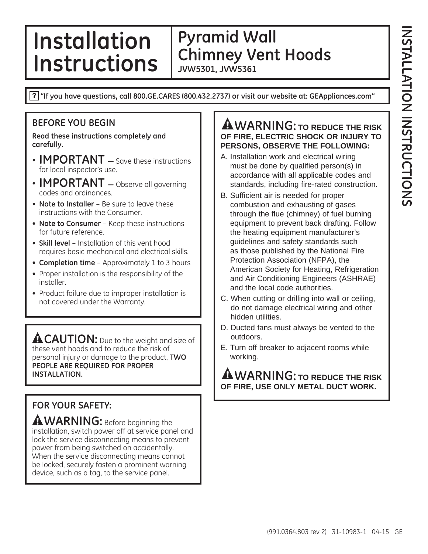### **Installation Instructions Pyramid Wall Chimney Vent Hoods JVW5301, JVW5361**

**"If you have questions, call 800.GE.CARES (800.432.2737) or visit our website at: GEAppliances.com"**

### **BEFORE YOU BEGIN**

**Read these instructions completely and carefully.**

- **IMPORTANT** Save these instructions for local inspector's use.
- **IMPORTANT** Observe all governing codes and ordinances.
- **Note to Installer**  Be sure to leave these instructions with the Consumer.
- **Note to Consumer** Keep these instructions for future reference.
- **Skill level** Installation of this vent hood requires basic mechanical and electrical skills.
- • **Completion time** Approximately 1 to 3 hours
- Proper installation is the responsibility of the installer.
- Product failure due to improper installation is not covered under the Warranty.

ACAUTION: Due to the weight and size of these vent hoods and to reduce the risk of personal injury or damage to the product, **TWO PEOPLE ARE REQUIRED FOR PROPER INSTALLATION.**

# **FOR YOUR SAFETY:**

**WARNING:** Before beginning the installation, switch power off at service panel and lock the service disconnecting means to prevent power from being switched on accidentally. When the service disconnecting means cannot be locked, securely fasten a prominent warning device, such as a tag, to the service panel.

### **A WARNING:** TO REDUCE THE RISK **OF FIRE, ELECTRIC SHOCK OR INJURY TO PERSONS, OBSERVE THE FOLLOWING:**

- A. Installation work and electrical wiring must be done by qualified person(s) in accordance with all applicable codes and standards, including fire-rated construction.
- B. Sufficient air is needed for proper combustion and exhausting of gases through the flue (chimney) of fuel burning equipment to prevent back drafting. Follow the heating equipment manufacturer's guidelines and safety standards such as those published by the National Fire Protection Association (NFPA), the American Society for Heating, Refrigeration and Air Conditioning Engineers (ASHRAE) and the local code authorities.
- C. When cutting or drilling into wall or ceiling, do not damage electrical wiring and other hidden utilities.
- D. Ducted fans must always be vented to the outdoors.
- E. Turn off breaker to adjacent rooms while working.

**WARNING: TO REDUCE THE RISK OF FIRE, USE ONLY METAL DUCT WORK.**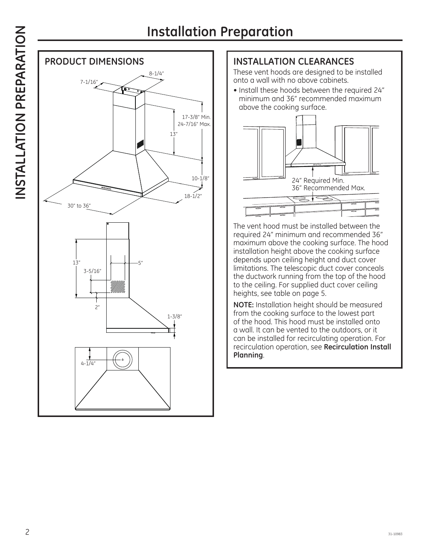

### **INSTALLATION CLEARANCES**

 These vent hoods are designed to be installed onto a wall with no above cabinets.

• Install these hoods between the required 24" minimum and 36" recommended maximum above the cooking surface.



The vent hood must be installed between the required 24" minimum and recommended 36" maximum above the cooking surface. The hood installation height above the cooking surface depends upon ceiling height and duct cover limitations. The telescopic duct cover conceals the ductwork running from the top of the hood to the ceiling. For supplied duct cover ceiling heights, see table on page 5.

**NOTE:** Installation height should be measured from the cooking surface to the lowest part of the hood. This hood must be installed onto a wall. It can be vented to the outdoors, or it can be installed for recirculating operation. For recirculation operation, see **Recirculation Install Planning**.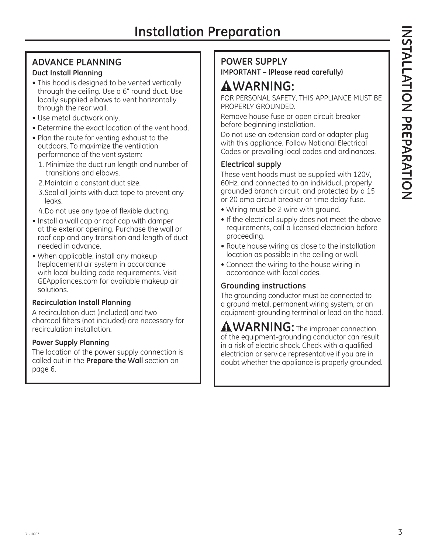# **ADVANCE PLANNING**

### **Duct Install Planning**

- This hood is designed to be vented vertically through the ceiling. Use a 6" round duct. Use locally supplied elbows to vent horizontally through the rear wall.
- Use metal ductwork only.
- Determine the exact location of the vent hood.
- Plan the route for venting exhaust to the outdoors. To maximize the ventilation performance of the vent system:
	- 1. Minimize the duct run length and number of transitions and elbows.
	- 2. Maintain a constant duct size.
	- 3. Seal all joints with duct tape to prevent any leaks.
	- 4. Do not use any type of flexible ducting.
- Install a wall cap or roof cap with damper at the exterior opening. Purchase the wall or roof cap and any transition and length of duct needed in advance.
- When applicable, install any makeup (replacement) air system in accordance with local building code requirements. Visit GEAppliances.com for available makeup air solutions.

### **Recirculation Install Planning**

A recirculation duct (included) and two charcoal filters (not included) are necessary for recirculation installation.

### **Power Supply Planning**

The location of the power supply connection is called out in the **Prepare the Wall** section on page 6.

### **POWER SUPPLY**

**IMPORTANT – (Please read carefully)**

# **WARNING:**

FOR PERSONAL SAFETY, THIS APPLIANCE MUST BE PROPERLY GROUNDED.

Remove house fuse or open circuit breaker before beginning installation.

Do not use an extension cord or adapter plug with this appliance. Follow National Electrical Codes or prevailing local codes and ordinances.

### **Electrical supply**

These vent hoods must be supplied with 120V, 60Hz, and connected to an individual, properly grounded branch circuit, and protected by a 15 or 20 amp circuit breaker or time delay fuse.

- Wiring must be 2 wire with ground.
- If the electrical supply does not meet the above requirements, call a licensed electrician before proceeding.
- Route house wiring as close to the installation location as possible in the ceiling or wall.
- Connect the wiring to the house wiring in accordance with local codes.

### **Grounding instructions**

The grounding conductor must be connected to a ground metal, permanent wiring system, or an equipment-grounding terminal or lead on the hood.

**WARNING:** The improper connection of the equipment-grounding conductor can result in a risk of electric shock. Check with a qualified electrician or service representative if you are in doubt whether the appliance is properly grounded.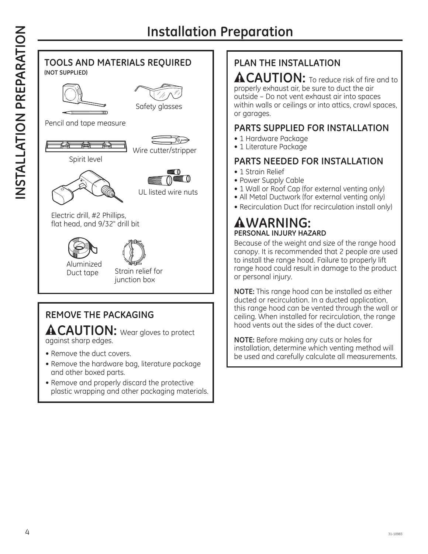

### **TOOLS AND MATERIALS REQUIRED (NOT SUPPLIED)**





Safety glasses

Pencil and tape measure





Spirit level



UL listed wire nuts

Electric drill, #2 Phillips, flat head, and 9/32" drill bit





Duct tape Strain relief for junction box

# **REMOVE THE PACKAGING**

**ACAUTION:** Wear gloves to protect against sharp edges.

- Remove the duct covers.
- Remove the hardware bag, literature package and other boxed parts.
- Remove and properly discard the protective plastic wrapping and other packaging materials.

# **PLAN THE INSTALLATION**

**ACAUTION:** To reduce risk of fire and to properly exhaust air, be sure to duct the air outside – Do not vent exhaust air into spaces within walls or ceilings or into attics, crawl spaces, or garages.

### **PARTS SUPPLIED FOR INSTALLATION**

- 1 Hardware Package
- 1 Literature Package

### **PARTS NEEDED FOR INSTALLATION**

- 1 Strain Relief
- Power Supply Cable
- 1 Wall or Roof Cap (for external venting only)
- All Metal Ductwork (for external venting only)
- Recirculation Duct (for recirculation install only)

# **WARNING: PERSONAL INJURY HAZARD**

Because of the weight and size of the range hood canopy. It is recommended that 2 people are used to install the range hood. Failure to properly lift range hood could result in damage to the product or personal injury.

**NOTE:** This range hood can be installed as either ducted or recirculation. In a ducted application, this range hood can be vented through the wall or ceiling. When installed for recirculation, the range hood vents out the sides of the duct cover.

**NOTE:** Before making any cuts or holes for installation, determine which venting method will be used and carefully calculate all measurements.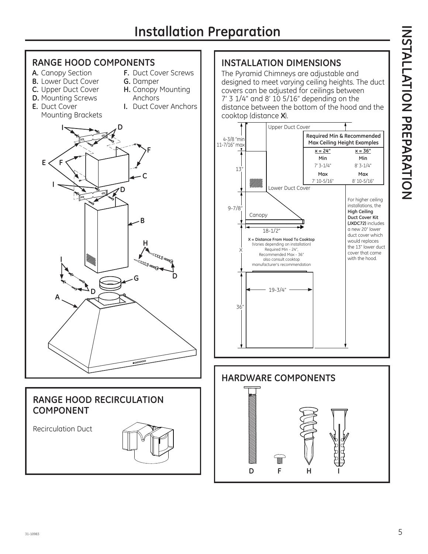

### **RANGE HOOD RECIRCULATION COMPONENT**

Recirculation Duct



## **INSTALLATION DIMENSIONS**

The Pyramid Chimneys are adjustable and designed to meet varying ceiling heights. The duct covers can be adjusted for ceilings between 7' 3 1/4" and 8' 10 5/16" depending on the distance between the bottom of the hood and the cooktop (distance **X**).



# **INSTALLATION PREPARATION** INSTATION PREPARATION

**HARDWARE COMPONENTS DF H I**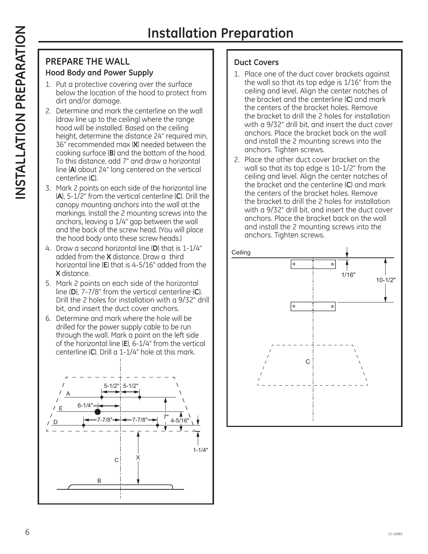### **PREPARE THE WALL Hood Body and Power Supply**

- 1. Put a protective covering over the surface below the location of the hood to protect from dirt and/or damage.
- 2. Determine and mark the centerline on the wall (draw line up to the ceiling) where the range hood will be installed. Based on the ceiling height, determine the distance 24" required min, 36" recommended max (**X**) needed between the cooking surface (**B**) and the bottom of the hood. To this distance, add 7" and draw a horizontal line (**A**) about 24" long centered on the vertical centerline (**C**).
- 3. Mark 2 points on each side of the horizontal line (**A**), 5-1/2" from the vertical centerline (**C**). Drill the canopy mounting anchors into the wall at the markings. Install the 2 mounting screws into the anchors, leaving a 1/4" gap between the wall and the back of the screw head. (You will place the hood body onto these screw heads.)
- 4. Draw a second horizontal line (**D**) that is 1-1/4" added from the **X** distance. Draw a third horizontal line (**E**) that is 4-5/16" added from the **X** distance.
- 5. Mark 2 points on each side of the horizontal line (**D**), 7-7/8" from the vertical centerline (**C**). Drill the 2 holes for installation with a 9/32" drill bit, and insert the duct cover anchors.
- 6. Determine and mark where the hole will be drilled for the power supply cable to be run through the wall. Mark a point on the left side of the horizontal line (**E**), 6-1/4" from the vertical centerline (**C**). Drill a 1-1/4" hole at this mark.



### **Duct Covers**

- 1. Place one of the duct cover brackets against the wall so that its top edge is 1/16" from the ceiling and level. Align the center notches of the bracket and the centerline (**C**) and mark the centers of the bracket holes. Remove the bracket to drill the 2 holes for installation with a 9/32" drill bit, and insert the duct cover anchors. Place the bracket back on the wall and install the 2 mounting screws into the anchors. Tighten screws.
- 2. Place the other duct cover bracket on the wall so that its top edge is 10-1/2" from the ceiling and level. Align the center notches of the bracket and the centerline (**C**) and mark the centers of the bracket holes. Remove the bracket to drill the 2 holes for installation with a 9/32" drill bit, and insert the duct cover anchors. Place the bracket back on the wall and install the 2 mounting screws into the anchors. Tighten screws.

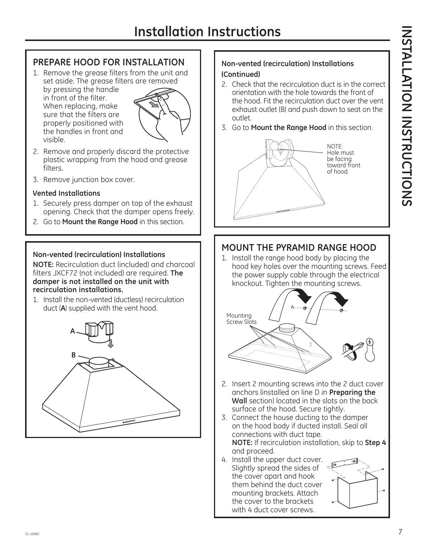### **PREPARE HOOD FOR INSTALLATION**

1. Remove the grease filters from the unit and set aside. The grease filters are removed by pressing the handle in front of the filter. When replacing, make



- 2. Remove and properly discard the protective plastic wrapping from the hood and grease filters.
- 3. Remove junction box cover.

sure that the filters are properly positioned with the handles in front and

### **Vented Installations**

visible.

- 1. Securely press damper on top of the exhaust opening. Check that the damper opens freely.
- 2. Go to **Mount the Range Hood** in this section.

### **Non-vented (recirculation) Installations**

**NOTE:** Recirculation duct (included) and charcoal filters JXCF72 (not included) are required. **The damper is not installed on the unit with recirculation installations.**

1. Install the non-vented (ductless) recirculation duct (**A**) supplied with the vent hood.



### **Non-vented (recirculation) Installations (Continued)**

- 2. Check that the recirculation duct is in the correct orientation with the hole towards the front of the hood. Fit the recirculation duct over the vent exhaust outlet (B) and push down to seat on the outlet.
- 3. Go to **Mount the Range Hood** in this section.



### **MOUNT THE PYRAMID RANGE HOOD**

1. Install the range hood body by placing the hood key holes over the mounting screws. Feed the power supply cable through the electrical knockout. Tighten the mounting screws.



- 2. Insert 2 mounting screws into the 2 duct cover anchors (installed on line D in **Preparing the Wall** section) located in the slots on the back surface of the hood. Secure tightly.
- 3. Connect the house ducting to the damper on the hood body if ducted install. Seal all connections with duct tape. **NOTE:** If recirculation installation, skip to **Step 4** and proceed.
- 4. Install the upper duct cover. Slightly spread the sides of the cover apart and hook them behind the duct cover mounting brackets. Attach the cover to the brackets with 4 duct cover screws.

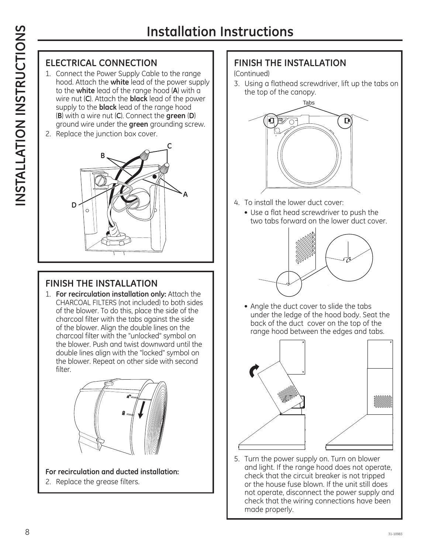# **INSTALLATION INSTRUCTIONS**  INSTALLATION INSTRUCTIONS

# **ELECTRICAL CONNECTION**

- 1. Connect the Power Supply Cable to the range hood. Attach the **white** lead of the power supply to the **white** lead of the range hood (**A**) with a wire nut (**C**). Attach the **black** lead of the power supply to the **black** lead of the range hood (**B**) with a wire nut (**C**). Connect the **green** (**D**) ground wire under the **green** grounding screw.
- 2. Replace the junction box cover.



# **FINISH THE INSTALLATION**

1. **For recirculation installation only:** Attach the CHARCOAL FILTERS (not included) to both sides of the blower. To do this, place the side of the charcoal filter with the tabs against the side of the blower. Align the double lines on the charcoal filter with the "unlocked" symbol on the blower. Push and twist downward until the double lines align with the "locked" symbol on the blower. Repeat on other side with second filter.



**For recirculation and ducted installation:** 2. Replace the grease filters.

**FINISH THE INSTALLATION**

### (Continued)

3. Using a flathead screwdriver, lift up the tabs on the top of the canopy.



- 4. To install the lower duct cover:
	- Use a flat head screwdriver to push the two tabs forward on the lower duct cover.



• Angle the duct cover to slide the tabs under the ledge of the hood body. Seat the back of the duct cover on the top of the range hood between the edges and tabs.



5. Turn the power supply on. Turn on blower and light. If the range hood does not operate, check that the circuit breaker is not tripped or the house fuse blown. If the unit still does not operate, disconnect the power supply and check that the wiring connections have been made properly.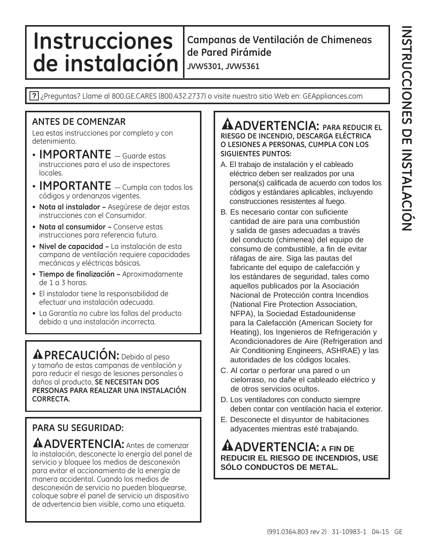# **Instrucciones de instalación**

**Campanas de Ventilación de Chimeneas de Pared Pirámide JVW5301, JVW5361**

? Preguntas? Llame al 800.GE.CARES (800.432.2737) o visite nuestro sitio Web en: GEAppliances.com

### **ANTES DE COMENZAR**

Lea estas instrucciones por completo y con detenimiento.

- $\cdot$  **IMPORTANTE**  $\equiv$  Guarde estas instrucciones para el uso de inspectores locales.
- **IMPORTANTE** Cumpla con todos los códigos y ordenanzas vigentes.
- **Nota al instalador –** Asegúrese de dejar estas instrucciones con el Consumidor.
- **Nota al consumidor –** Conserve estas instrucciones para referencia futura.
- **Nivel de capacidad –** La instalación de esta campana de ventilación requiere capacidades mecánicas y eléctricas básicas.
- **Tiempo de finalización** Aproximadamente de 1 a 3 horas.
- El instalador tiene la responsabilidad de efectuar una instalación adecuada.
- La Garantía no cubre las fallas del producto debido a una instalación incorrecta.

**PRECAUCIÓN:** Debido al peso y tamaño de estas campanas de ventilación y para reducir el riesgo de lesiones personales o daños al producto, **SE NECESITAN DOS PERSONAS PARA REALIZAR UNA INSTALACIÓN CORRECTA.** 

### **PARA SU SEGURIDAD:**

**ADVERTENCIA:** Antes de comenzar la instalación, desconecte la energía del panel de servicio y bloquee los medios de desconexión para evitar el accionamiento de la energía de manera accidental. Cuando los medios de desconexión de servicio no pueden bloquearse, coloque sobre el panel de servicio un dispositivo de advertencia bien visible, como una etiqueta.

### **ADVERTENCIA: PARA REDUCIR EL RIESGO DE INCENDIO, DESCARGA ELÉCTRICA O LESIONES A PERSONAS, CUMPLA CON LOS SIGUIENTES PUNTOS:**

- A. El trabajo de instalación y el cableado eléctrico deben ser realizados por una persona(s) calificada de acuerdo con todos los códigos y estándares aplicables, incluyendo construcciones resistentes al fuego.
- B. Es necesario contar con suficiente cantidad de aire para una combustión y salida de gases adecuadas a través del conducto (chimenea) del equipo de consumo de combustible, a fin de evitar ráfagas de aire. Siga las pautas del fabricante del equipo de calefacción y los estándares de seguridad, tales como aquellos publicados por la Asociación Nacional de Protección contra Incendios (National Fire Protection Association, NFPA), la Sociedad Estadounidense para la Calefacción (American Society for Heating), los Ingenieros de Refrigeración y Acondicionadores de Aire (Refrigeration and Air Conditioning Engineers, ASHRAE) y las autoridades de los códigos locales.
- C. Al cortar o perforar una pared o un cielorraso, no dañe el cableado eléctrico y de otros servicios ocultos.
- D. Los ventiladores con conducto siempre deben contar con ventilación hacia el exterior.
- E. Desconecte el disyuntor de habitaciones adyacentes mientras esté trabajando.

**ADVERTENCIA: A FIN DE REDUCIR EL RIESGO DE INCENDIOS, USE SÓLO CONDUCTOS DE METAL.**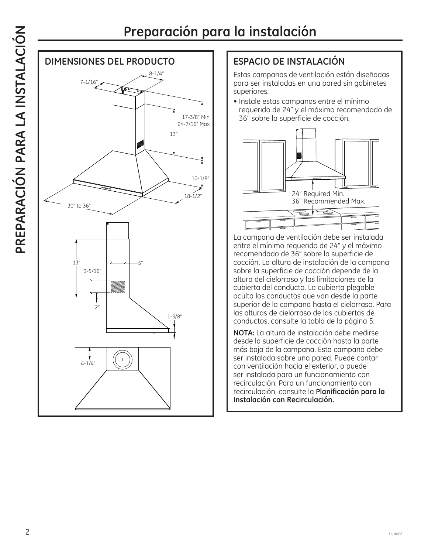

# **ESPACIO DE INSTALACIÓN**

 Estas campanas de ventilación están diseñadas para ser instaladas en una pared sin gabinetes superiores.

• Instale estas campanas entre el mínimo requerido de 24" y el máximo recomendado de 36" sobre la superficie de cocción.



La campana de ventilación debe ser instalada entre el mínimo requerido de 24" y el máximo recomendado de 36" sobre la superficie de cocción. La altura de instalación de la campana sobre la superficie de cocción depende de la altura del cielorraso y las limitaciones de la cubierta del conducto. La cubierta plegable oculta los conductos que van desde la parte superior de la campana hasta el cielorraso. Para las alturas de cielorraso de las cubiertas de conductos, consulte la tabla de la página 5.

**NOTA:** La altura de instalación debe medirse desde la superficie de cocción hasta la parte más baja de la campana. Esta campana debe ser instalada sobre una pared. Puede contar con ventilación hacia el exterior, o puede ser instalada para un funcionamiento con recirculación. Para un funcionamiento con recirculación, consulte la **Planificación para la Instalación con Recirculación.**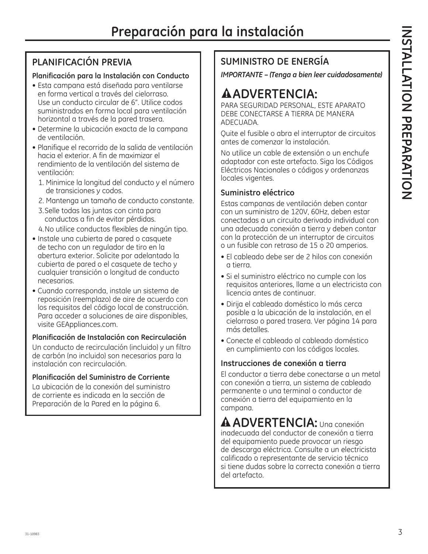# **PLANIFICACIÓN PREVIA**

### **Planificación para la Instalación con Conducto**

- Esta campana está diseñada para ventilarse en forma vertical a través del cielorraso. Use un conducto circular de 6". Utilice codos suministrados en forma local para ventilación horizontal a través de la pared trasera.
- Determine la ubicación exacta de la campana de ventilación.
- Planifique el recorrido de la salida de ventilación hacia el exterior. A fin de maximizar el rendimiento de la ventilación del sistema de ventilación:
	- 1. Minimice la longitud del conducto y el número de transiciones y codos.
	- 2. Mantenga un tamaño de conducto constante.
	- 3. Selle todas las juntas con cinta para conductos a fin de evitar pérdidas.
	- 4. No utilice conductos flexibles de ningún tipo.
- Instale una cubierta de pared o casquete de techo con un regulador de tiro en la abertura exterior. Solicite por adelantado la cubierta de pared o el casquete de techo y cualquier transición o longitud de conducto necesarios.
- Cuando corresponda, instale un sistema de reposición (reemplazo) de aire de acuerdo con los requisitos del código local de construcción. Para acceder a soluciones de aire disponibles, visite GEAppliances.com.

### **Planificación de Instalación con Recirculación**

Un conducto de recirculación (incluido) y un filtro de carbón (no incluido) son necesarios para la instalación con recirculación.

### **Planificación del Suministro de Corriente**

La ubicación de la conexión del suministro de corriente es indicada en la sección de Preparación de la Pared en la página 6.

# **SUMINISTRO DE ENERGÍA**

*IMPORTANTE – (Tenga a bien leer cuidadosamente)*

# **ADVERTENCIA:**

PARA SEGURIDAD PERSONAL, ESTE APARATO DEBE CONECTARSE A TIERRA DE MANERA ADECUADA.

Quite el fusible o abra el interruptor de circuitos antes de comenzar la instalación.

No utilice un cable de extensión o un enchufe adaptador con este artefacto. Siga los Códigos Eléctricos Nacionales o códigos y ordenanzas locales vigentes.

### **Suministro eléctrico**

Estas campanas de ventilación deben contar con un suministro de 120V, 60Hz, deben estar conectadas a un circuito derivado individual con una adecuada conexión a tierra y deben contar con la protección de un interruptor de circuitos o un fusible con retraso de 15 o 20 amperios.

- El cableado debe ser de 2 hilos con conexión a tierra.
- Si el suministro eléctrico no cumple con los requisitos anteriores, llame a un electricista con licencia antes de continuar.
- Dirija el cableado doméstico lo más cerca posible a la ubicación de la instalación, en el cielorraso o pared trasera. Ver página 14 para más detalles.
- Conecte el cableado al cableado doméstico en cumplimiento con los códigos locales.

### **Instrucciones de conexión a tierra**

El conductor a tierra debe conectarse a un metal con conexión a tierra, un sistema de cableado permanente o una terminal o conductor de conexión a tierra del equipamiento en la campana.

**ADVERTENCIA:** Una conexión inadecuada del conductor de conexión a tierra del equipamiento puede provocar un riesgo de descarga eléctrica. Consulte a un electricista calificado o representante de servicio técnico si tiene dudas sobre la correcta conexión a tierra del artefacto.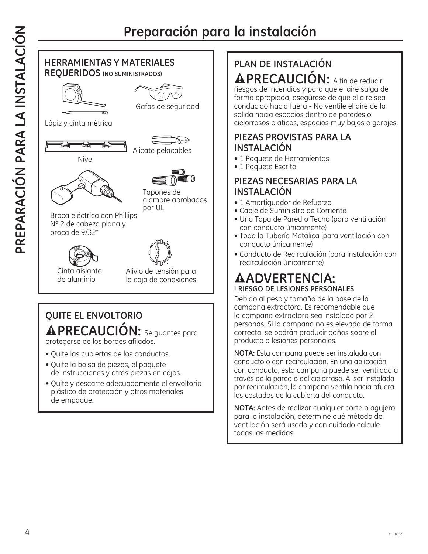# **Preparación para la instalación**



# **QUITE EL ENVOLTORIO PRECAUCIÓN:** Se guantes para protegerse de los bordes afilados.

• Quite las cubiertas de los conductos.

- Quite la bolsa de piezas, el paquete de instrucciones y otras piezas en cajas.
- Quite y descarte adecuadamente el envoltorio plástico de protección y otros materiales de empaque.

# **PLAN DE INSTALACIÓN PRECAUCIÓN:** A fin de reducir

riesgos de incendios y para que el aire salga de forma apropiada, asegúrese de que el aire sea conducido hacia fuera - No ventile el aire de la salida hacia espacios dentro de paredes o cielorrasos o áticos, espacios muy bajos o garajes.

### **PIEZAS PROVISTAS PARA LA INSTALACIÓN**

- 1 Paquete de Herramientas
- 1 Paquete Escrito

### **PIEZAS NECESARIAS PARA LA INSTALACIÓN**

- 1 Amortiguador de Refuerzo
- Cable de Suministro de Corriente
- Una Tapa de Pared o Techo (para ventilación con conducto únicamente)
- Toda la Tubería Metálica (para ventilación con conducto únicamente)
- Conducto de Recirculación (para instalación con recirculación únicamente)

# **ADVERTENCIA: ! RIESGO DE LESIONES PERSONALES**

Debido al peso y tamaño de la base de la campana extractora. Es recomendable que la campana extractora sea instalada por 2 personas. Si la campana no es elevada de forma correcta, se podrán producir daños sobre el producto o lesiones personales.

**NOTA:** Esta campana puede ser instalada con conducto o con recirculación. En una aplicación con conducto, esta campana puede ser ventilada a través de la pared o del cielorraso. Al ser instalada por recirculación, la campana ventila hacia afuera los costados de la cubierta del conducto.

**NOTA:** Antes de realizar cualquier corte o agujero para la instalación, determine qué método de ventilación será usado y con cuidado calcule todas las medidas.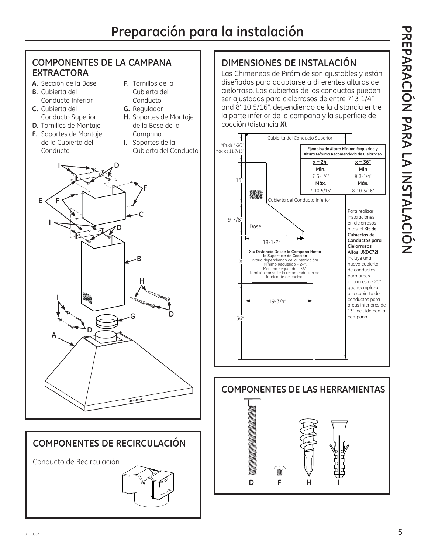### **COMPONENTES DE LA CAMPANA F.** Tornillos de la Cubierta del Conducto **G.** Regulador **H.** Soportes de Montaje de la Base de la Campana **I.** Soportes de la Cubierta del Conducto 13" **D** Mín. de 4-3/8" Máx. de 11-7/16"

# **DIMENSIONES DE INSTALACIÓN**

Las Chimeneas de Pirámide son ajustables y están diseñadas para adaptarse a diferentes alturas de cielorraso. Las cubiertas de los conductos pueden ser ajustadas para cielorrasos de entre 7' 3 1/4" and 8' 10 5/16", dependiendo de la distancia entre la parte inferior de la campana y la superficie de cocción (distancia **X**).







**EXTRACTORA A.** Sección de la Base **B.** Cubierta del

**C.** Cubierta del

Conducto Inferior

Conducto Superior **D.** Tornillos de Montaje

# **COMPONENTES DE RECIRCULACIÓN** Conducto de Recirculación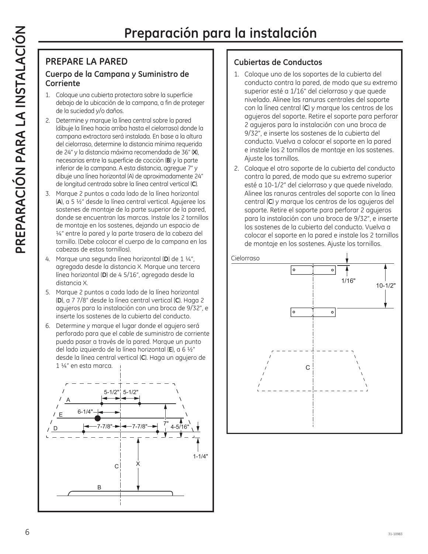### **PREPARE LA PARED Cuerpo de la Campana y Suministro de Corriente**

- 1. Coloque una cubierta protectora sobre la superficie debajo de la ubicación de la campana, a fin de proteger de la suciedad y/o daños.
- 2. Determine y marque la línea central sobre la pared (dibuje la línea hacia arriba hasta el cielorraso) donde la campana extractora será instalada. En base a la altura del cielorraso, determine la distancia mínima requerida de 24" y la distancia máxima recomendada de 36" (**X**), necesarias entre la superficie de cocción (**B**) y la parte inferior de la campana. A esta distancia, agregue 7" y dibuje una línea horizontal (A) de aproximadamente 24" de longitud centrada sobre la línea central vertical (**C**).
- 3. Marque 2 puntos a cada lado de la línea horizontal (**A**), a 5 ½" desde la línea central vertical. Agujeree los sostenes de montaje de la parte superior de la pared, donde se encuentran las marcas. Instale los 2 tornillos de montaje en los sostenes, dejando un espacio de ¼" entre la pared y la parte trasera de la cabeza del tornillo. (Debe colocar el cuerpo de la campana en las cabezas de estos tornillos).
- 4. Marque una segunda línea horizontal (**D**) de 1 ¼", agregada desde la distancia X. Marque una tercera línea horizontal (**D**) de 4 5/16", agregada desde la distancia X.
- 5. Marque 2 puntos a cada lado de la línea horizontal (**D**), a 7 7/8" desde la línea central vertical (**C**). Haga 2 agujeros para la instalación con una broca de 9/32", e inserte los sostenes de la cubierta del conducto.
- 6. Determine y marque el lugar donde el agujero será perforado para que el cable de suministro de corriente pueda pasar a través de la pared. Marque un punto del lado izquierdo de la línea horizontal (**E**), a 6 ½" desde la línea central vertical (**C**). Haga un agujero de 1 ¼" en esta marca.



### **Cubiertas de Conductos**

- 1. Coloque uno de los soportes de la cubierta del conducto contra la pared, de modo que su extremo superior esté a 1/16" del cielorraso y que quede nivelado. Alinee las ranuras centrales del soporte con la línea central (**C**) y marque los centros de los agujeros del soporte. Retire el soporte para perforar 2 agujeros para la instalación con una broca de 9/32", e inserte los sostenes de la cubierta del conducto. Vuelva a colocar el soporte en la pared e instale los 2 tornillos de montaje en los sostenes. Ajuste los tornillos.
- 2. Coloque el otro soporte de la cubierta del conducto contra la pared, de modo que su extremo superior esté a 10-1/2" del cielorraso y que quede nivelado. Alinee las ranuras centrales del soporte con la línea central (**C**) y marque los centros de los agujeros del soporte. Retire el soporte para perforar 2 agujeros para la instalación con una broca de 9/32", e inserte los sostenes de la cubierta del conducto. Vuelva a colocar el soporte en la pared e instale los 2 tornillos de montaje en los sostenes. Ajuste los tornillos.

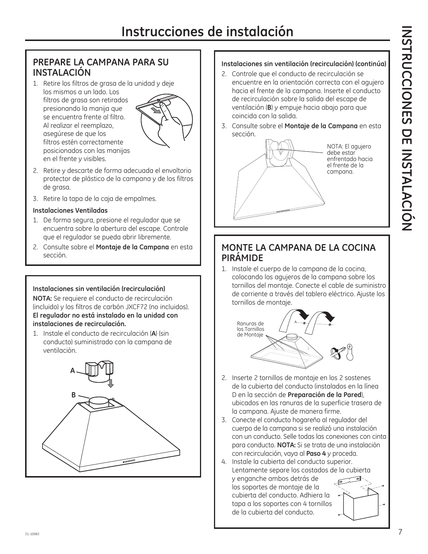### **PREPARE LA CAMPANA PARA SU INSTALACIÓN**

1. Retire los filtros de grasa de la unidad y deje los mismos a un lado. Los filtros de grasa son retirados presionando la manija que se encuentra frente al filtro. Al realizar el reemplazo, asegúrese de que los filtros estén correctamente posicionados con las manijas en el frente y visibles.



- 2. Retire y descarte de forma adecuada el envoltorio protector de plástico de la campana y de los filtros de grasa.
- 3. Retire la tapa de la caja de empalmes.

### **Instalaciones Ventiladas**

- 1. De forma segura, presione el regulador que se encuentra sobre la abertura del escape. Controle que el regulador se pueda abrir libremente.
- 2. Consulte sobre el **Montaje de la Campana** en esta sección.

### **Instalaciones sin ventilación (recirculación)**

**NOTA:** Se requiere el conducto de recirculación (incluido) y los filtros de carbón JXCF72 (no incluidos). **El regulador no está instalado en la unidad con instalaciones de recirculación.**

1. Instale el conducto de recirculación (**A**) (sin conducto) suministrado con la campana de ventilación.



### **Instalaciones sin ventilación (recirculación) (continúa)**

- 2. Controle que el conducto de recirculación se encuentre en la orientación correcta con el agujero hacia el frente de la campana. Inserte el conducto de recirculación sobre la salida del escape de ventilación (**B**) y empuje hacia abajo para que coincida con la salida.
- 3. Consulte sobre el **Montaje de la Campana** en esta sección.



### **MONTE LA CAMPANA DE LA COCINA PIRÁMIDE**

1. Instale el cuerpo de la campana de la cocina, colocando los agujeros de la campana sobre los tornillos del montaje. Conecte el cable de suministro de corriente a través del tablero eléctrico. Ajuste los tornillos de montaje.



- 2. Inserte 2 tornillos de montaje en los 2 sostenes de la cubierta del conducto (instalados en la línea D en la sección de **Preparación de la Pared**), ubicados en las ranuras de la superficie trasera de la campana. Ajuste de manera firme.
- 3. Conecte el conducto hogareño al regulador del cuerpo de la campana si se realizó una instalación con un conducto. Selle todas las conexiones con cinta para conducto. **NOTA:** Si se trata de una instalación con recirculación, vaya al **Paso 4** y proceda.
- 4. Instale la cubierta del conducto superior. Lentamente separe los costados de la cubierta y enganche ambos detrás de los soportes de montaje de la cubierta del conducto. Adhiera la tapa a los soportes con 4 tornillos de la cubierta del conducto.